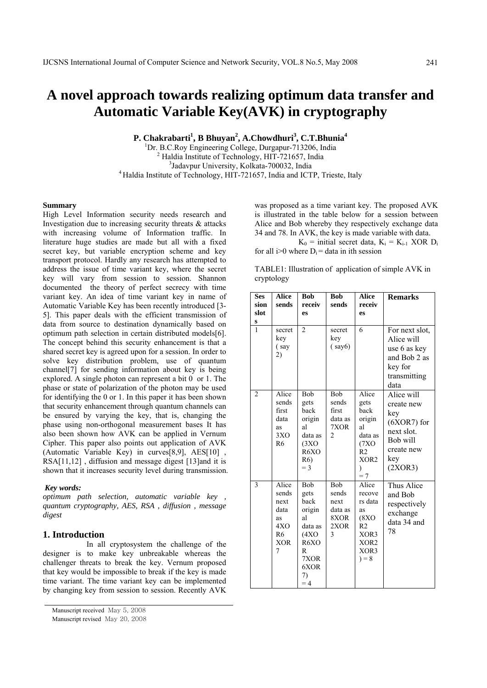# **A novel approach towards realizing optimum data transfer and Automatic Variable Key(AVK) in cryptography**

**P. Chakrabarti<sup>1</sup>, B Bhuyan<sup>2</sup>, A.Chowdhuri<sup>3</sup>, C.T.Bhunia<sup>4</sup>** 

<sup>1</sup>Dr. B.C.Roy Engineering College, Durgapur-713206, India <sup>2</sup> Holdie Institute of Technology, HIT 721657, India <sup>2</sup> Haldia Institute of Technology, HIT-721657, India<br><sup>3</sup>Jadavpur University, Kolkata-700032, India  $<sup>4</sup>$ Haldia Institute of Technology, HIT-721657, India and ICTP, Trieste, Italy</sup>

#### **Summary**

High Level Information security needs research and Investigation due to increasing security threats & attacks with increasing volume of Information traffic. In literature huge studies are made but all with a fixed secret key, but variable encryption scheme and key transport protocol. Hardly any research has attempted to address the issue of time variant key, where the secret key will vary from session to session. Shannon documented the theory of perfect secrecy with time variant key. An idea of time variant key in name of Automatic Variable Key has been recently introduced [3- 5]. This paper deals with the efficient transmission of data from source to destination dynamically based on optimum path selection in certain distributed models[6]. The concept behind this security enhancement is that a shared secret key is agreed upon for a session. In order to solve key distribution problem, use of quantum channel[7] for sending information about key is being explored. A single photon can represent a bit 0 or 1. The phase or state of polarization of the photon may be used for identifying the 0 or 1. In this paper it has been shown that security enhancement through quantum channels can be ensured by varying the key, that is, changing the phase using non-orthogonal measurement bases It has also been shown how AVK can be applied in Vernum Cipher. This paper also points out application of AVK (Automatic Variable Key) in curves[8,9], AES[10] , RSA[11,12] , diffusion and message digest [13]and it is shown that it increases security level during transmission.

#### *Key words:*

*optimum path selection, automatic variable key , quantum cryptography, AES, RSA , diffusion , message digest* 

# **1. Introduction**

 In all cryptosystem the challenge of the designer is to make key unbreakable whereas the challenger threats to break the key. Vernum proposed that key would be impossible to break if the key is made time variant. The time variant key can be implemented by changing key from session to session. Recently AVK was proposed as a time variant key. The proposed AVK is illustrated in the table below for a session between Alice and Bob whereby they respectively exchange data 34 and 78. In AVK, the key is made variable with data.

 $K_0$  = initial secret data,  $K_i = K_{i-1}$  XOR  $D_i$ for all i>0 where  $D_i$  = data in ith session

TABLE1: Illustration of application of simple AVK in cryptology

| <b>Ses</b><br>sion<br>slot<br>$\frac{s}{1}$ | <b>Alice</b><br>sends                                                            | <b>Bob</b><br>receiv<br>es                                                                           | <b>Bob</b><br>sends                                        | <b>Alice</b><br>receiv<br>es                                                                                     | <b>Remarks</b>                                                                                             |
|---------------------------------------------|----------------------------------------------------------------------------------|------------------------------------------------------------------------------------------------------|------------------------------------------------------------|------------------------------------------------------------------------------------------------------------------|------------------------------------------------------------------------------------------------------------|
|                                             | secret<br>key<br>(say<br>2)                                                      | $\overline{2}$                                                                                       | secret<br>key<br>(say6)                                    | 6                                                                                                                | For next slot,<br>Alice will<br>use 6 as key<br>and Bob 2 as<br>key for<br>transmitting<br>data            |
| 2                                           | Alice<br>sends<br>first<br>data<br>as<br>3XO<br>R <sub>6</sub>                   | <b>B</b> ob<br>gets<br>back<br>origin<br>al<br>data as<br>(3XO)<br>R6XO<br>R <sub>6</sub> )<br>$=$ 3 | Bob<br>sends<br>first<br>data as<br>7XOR<br>$\overline{2}$ | Alice<br>gets<br>back<br>origin<br>al<br>data as<br>(7XO)<br>R2<br>XOR <sub>2</sub><br>$\mathcal{E}$<br>$=7$     | Alice will<br>create new<br>key<br>$(6XOR7)$ for<br>next slot.<br>Bob will<br>create new<br>key<br>(2XOR3) |
| 3                                           | Alice<br>sends<br>next<br>data<br>as<br>4XO<br>R <sub>6</sub><br><b>XOR</b><br>7 | Bob<br>gets<br>back<br>origin<br>al<br>data as<br>(4XO<br>R6XO<br>R<br>7XOR<br>6XOR<br>7)<br>$=4$    | Bob<br>sends<br>next<br>data as<br>8XOR<br>2XOR<br>3       | Alice<br>recove<br>rs data<br>as<br><b>(8XO</b><br>R <sub>2</sub><br>XOR3<br>XOR <sub>2</sub><br>XOR3<br>$) = 8$ | Thus Alice<br>and Bob<br>respectively<br>exchange<br>data 34 and<br>78                                     |

Manuscript received May 5, 2008

Manuscript revised May 20, 2008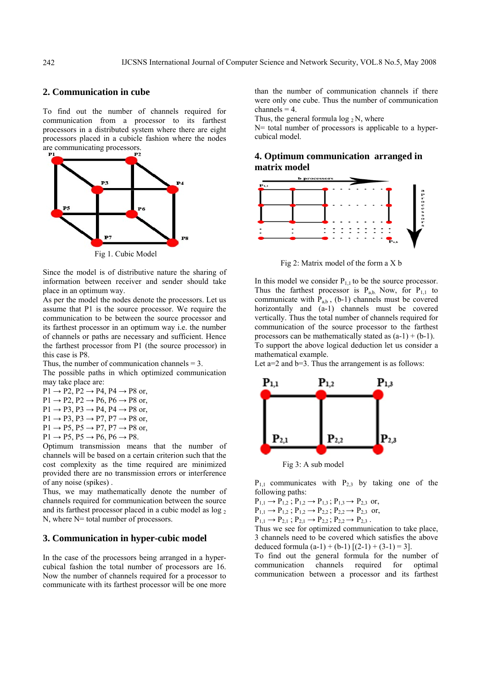# **2. Communication in cube**

To find out the number of channels required for communication from a processor to its farthest processors in a distributed system where there are eight processors placed in a cubicle fashion where the nodes are communicating processors.



Since the model is of distributive nature the sharing of information between receiver and sender should take place in an optimum way.

As per the model the nodes denote the processors. Let us assume that P1 is the source processor. We require the communication to be between the source processor and its farthest processor in an optimum way i.e. the number of channels or paths are necessary and sufficient. Hence the farthest processor from P1 (the source processor) in this case is P8.

Thus, the number of communication channels  $= 3$ .

The possible paths in which optimized communication may take place are:

- $P1 \rightarrow P2$ ,  $P2 \rightarrow P4$ ,  $P4 \rightarrow P8$  or,
- $P1 \rightarrow P2$ ,  $P2 \rightarrow P6$ ,  $P6 \rightarrow P8$  or,
- $P1 \rightarrow P3$ ,  $P3 \rightarrow P4$ ,  $P4 \rightarrow P8$  or,
- $P1 \rightarrow P3$ ,  $P3 \rightarrow P7$ ,  $P7 \rightarrow P8$  or,
- $P1 \rightarrow P5$ ,  $P5 \rightarrow P7$ ,  $P7 \rightarrow P8$  or,
- $P1 \rightarrow P5$ ,  $P5 \rightarrow P6$ ,  $P6 \rightarrow P8$ .

Optimum transmission means that the number of channels will be based on a certain criterion such that the cost complexity as the time required are minimized provided there are no transmission errors or interference of any noise (spikes) .

Thus, we may mathematically denote the number of channels required for communication between the source and its farthest processor placed in a cubic model as log 2 N, where N= total number of processors.

# **3. Communication in hyper-cubic model**

In the case of the processors being arranged in a hypercubical fashion the total number of processors are 16. Now the number of channels required for a processor to communicate with its farthest processor will be one more than the number of communication channels if there were only one cube. Thus the number of communication channels  $= 4$ .

Thus, the general formula  $\log_2 N$ , where

N= total number of processors is applicable to a hypercubical model.

# **4. Optimum communication arranged in matrix model**



Fig 2: Matrix model of the form a X b

In this model we consider  $P_{1,1}$  to be the source processor. Thus the farthest processor is  $P_{a,b}$ . Now, for  $P_{1,1}$  to communicate with  $P_{ab}$ , (b-1) channels must be covered horizontally and (a-1) channels must be covered vertically. Thus the total number of channels required for communication of the source processor to the farthest processors can be mathematically stated as  $(a-1) + (b-1)$ . To support the above logical deduction let us consider a mathematical example.

Let a=2 and b=3. Thus the arrangement is as follows:



 $P_{1,1}$  communicates with  $P_{2,3}$  by taking one of the following paths:

 $P_{1,1} \rightarrow P_{1,2}$ ;  $P_{1,2} \rightarrow P_{1,3}$ ;  $P_{1,3} \rightarrow P_{2,3}$  or,  $P_{1,1} \rightarrow P_{1,2}$ ;  $P_{1,2} \rightarrow P_{2,2}$ ;  $P_{2,2} \rightarrow P_{2,3}$  or,

 $P_{1,1} \rightarrow P_{2,1}$ ;  $P_{2,1} \rightarrow P_{2,2}$ ;  $P_{2,2} \rightarrow P_{2,3}$ .

Thus we see for optimized communication to take place, 3 channels need to be covered which satisfies the above deduced formula  $(a-1) + (b-1)$   $[(2-1) + (3-1) = 3]$ .

To find out the general formula for the number of communication channels required for optimal communication between a processor and its farthest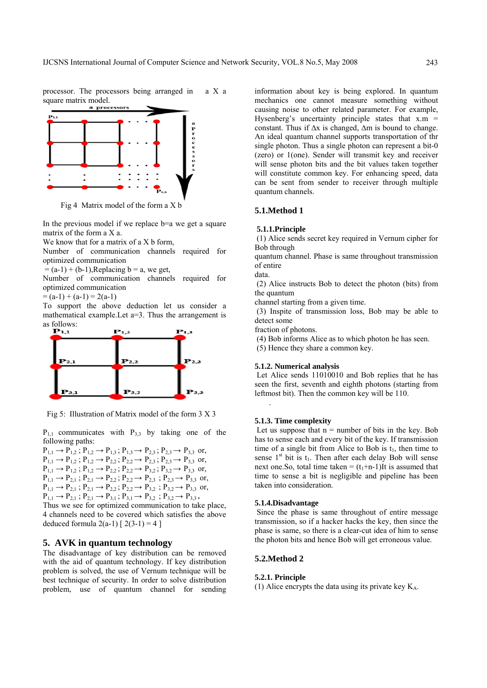processor. The processors being arranged in a X a square matrix model.<br>a processor



Fig 4 Matrix model of the form a X b

In the previous model if we replace b=a we get a square matrix of the form a X a.

We know that for a matrix of a X b form,

Number of communication channels required for optimized communication

 $= (a-1) + (b-1)$ , Replacing  $b = a$ , we get,

Number of communication channels required for optimized communication

 $= (a-1) + (a-1) = 2(a-1)$ 

To support the above deduction let us consider a mathematical example.Let a=3. Thus the arrangement is as follows:



Fig 5: Illustration of Matrix model of the form 3 X 3

 $P_{1,1}$  communicates with  $P_{3,3}$  by taking one of the following paths:

 $P_{1,1} \rightarrow P_{1,2}$ ;  $P_{1,2} \rightarrow P_{1,3}$ ;  $P_{1,3} \rightarrow P_{2,3}$ ;  $P_{2,3} \rightarrow P_{3,3}$  or,  $P_{1,1} \rightarrow P_{1,2}$ ;  $P_{1,2} \rightarrow P_{2,2}$ ;  $P_{2,2} \rightarrow P_{2,3}$ ;  $P_{2,3} \rightarrow P_{3,3}$  or,  $P_{1,1} \rightarrow P_{1,2}$ ;  $P_{1,2} \rightarrow P_{2,2}$ ;  $P_{2,2} \rightarrow P_{3,2}$ ;  $P_{3,2} \rightarrow P_{3,3}$  or,  $P_{1,1} \rightarrow P_{2,1}$ ;  $P_{2,1} \rightarrow P_{2,2}$ ;  $P_{2,2} \rightarrow P_{2,3}$ ;  $P_{2,3} \rightarrow P_{3,3}$  or,  $P_{1,1} \rightarrow P_{2,1}$ ;  $P_{2,1} \rightarrow P_{2,2}$ ;  $P_{2,2} \rightarrow P_{3,2}$ ;  $P_{3,2} \rightarrow P_{3,3}$  or,  $P_{1,1} \rightarrow P_{2,1}$ ;  $P_{2,1} \rightarrow P_{3,1}$ ;  $P_{3,1} \rightarrow P_{3,2}$ ;  $P_{3,2} \rightarrow P_{3,3}$ .

Thus we see for optimized communication to take place, 4 channels need to be covered which satisfies the above deduced formula  $2(a-1)$   $[ 2(3-1) = 4 ]$ 

# **5. AVK in quantum technology**

The disadvantage of key distribution can be removed with the aid of quantum technology. If key distribution problem is solved, the use of Vernum technique will be best technique of security. In order to solve distribution problem, use of quantum channel for sending

information about key is being explored. In quantum mechanics one cannot measure something without causing noise to other related parameter. For example, Hysenberg's uncertainty principle states that  $x.m =$ constant. Thus if ∆x is changed, ∆m is bound to change. An ideal quantum channel supports transportation of thr single photon. Thus a single photon can represent a bit-0 (zero) or 1(one). Sender will transmit key and receiver will sense photon bits and the bit values taken together will constitute common key. For enhancing speed, data can be sent from sender to receiver through multiple quantum channels.

# **5.1.Method 1**

#### **5.1.1.Principle**

 (1) Alice sends secret key required in Vernum cipher for Bob through

quantum channel. Phase is same throughout transmission of entire

data.

 (2) Alice instructs Bob to detect the photon (bits) from the quantum

channel starting from a given time.

 (3) Inspite of transmission loss, Bob may be able to detect some

fraction of photons.

(4) Bob informs Alice as to which photon he has seen.

(5) Hence they share a common key.

#### **5.1.2. Numerical analysis**

 Let Alice sends 11010010 and Bob replies that he has seen the first, seventh and eighth photons (starting from leftmost bit). Then the common key will be 110.

#### **5.1.3. Time complexity**

.

Let us suppose that  $n =$  number of bits in the key. Bob has to sense each and every bit of the key. If transmission time of a single bit from Alice to Bob is  $t_1$ , then time to sense  $1<sup>st</sup>$  bit is  $t<sub>1</sub>$ . Then after each delay Bob will sense next one. So, total time taken =  $(t_1+n-1)$ It is assumed that time to sense a bit is negligible and pipeline has been taken into consideration.

#### **5.1.4.Disadvantage**

 Since the phase is same throughout of entire message transmission, so if a hacker hacks the key, then since the phase is same, so there is a clear-cut idea of him to sense the photon bits and hence Bob will get erroneous value.

# **5.2.Method 2**

#### **5.2.1. Principle**

(1) Alice encrypts the data using its private key  $K_A$ .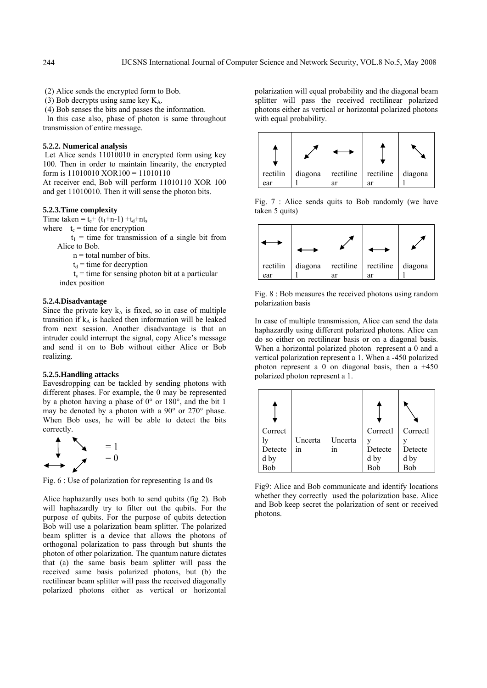(2) Alice sends the encrypted form to Bob.

(3) Bob decrypts using same key  $K_A$ .

(4) Bob senses the bits and passes the information.

 In this case also, phase of photon is same throughout transmission of entire message.

#### **5.2.2. Numerical analysis**

 Let Alice sends 11010010 in encrypted form using key 100. Then in order to maintain linearity, the encrypted form is 11010010 XOR100 = 11010110

At receiver end, Bob will perform 11010110 XOR 100 and get 11010010. Then it will sense the photon bits.

#### **5.2.3.Time complexity**

Time taken =  $t_e + (t_1 + n - 1) + t_d + nt_s$ 

where  $t_e$  = time for encryption

 $t_1$  = time for transmission of a single bit from Alice to Bob.

 $n =$  total number of bits.

 $t_d$  = time for decryption

 $t<sub>s</sub>$  = time for sensing photon bit at a particular index position

# **5.2.4.Disadvantage**

Since the private key  $k_A$  is fixed, so in case of multiple transition if  $k_A$  is hacked then information will be leaked from next session. Another disadvantage is that an intruder could interrupt the signal, copy Alice's message and send it on to Bob without either Alice or Bob realizing.

#### **5.2.5.Handling attacks**

Eavesdropping can be tackled by sending photons with different phases. For example, the 0 may be represented by a photon having a phase of 0° or 180°, and the bit 1 may be denoted by a photon with a 90° or 270° phase. When Bob uses, he will be able to detect the bits correctly.



Fig. 6 : Use of polarization for representing 1s and 0s

Alice haphazardly uses both to send qubits (fig 2). Bob will haphazardly try to filter out the qubits. For the purpose of qubits. For the purpose of qubits detection Bob will use a polarization beam splitter. The polarized beam splitter is a device that allows the photons of orthogonal polarization to pass through but shunts the photon of other polarization. The quantum nature dictates that (a) the same basis beam splitter will pass the received same basis polarized photons, but (b) the rectilinear beam splitter will pass the received diagonally polarized photons either as vertical or horizontal polarization will equal probability and the diagonal beam splitter will pass the received rectilinear polarized photons either as vertical or horizontal polarized photons with equal probability.



Fig. 7 : Alice sends quits to Bob randomly (we have taken 5 quits)



Fig. 8 : Bob measures the received photons using random polarization basis

In case of multiple transmission, Alice can send the data haphazardly using different polarized photons. Alice can do so either on rectilinear basis or on a diagonal basis. When a horizontal polarized photon represent a 0 and a vertical polarization represent a 1. When a -450 polarized photon represent a 0 on diagonal basis, then a  $+450$ polarized photon represent a 1.

| Correct |         |         | Correctl | Correctl |
|---------|---------|---------|----------|----------|
|         | Uncerta | Uncerta |          |          |
| Detecte | ın      | 1n      | Detecte  | Detecte  |
| d by    |         |         | d by     | d by     |
|         |         |         |          | Bob      |

Fig9: Alice and Bob communicate and identify locations whether they correctly used the polarization base. Alice and Bob keep secret the polarization of sent or received photons.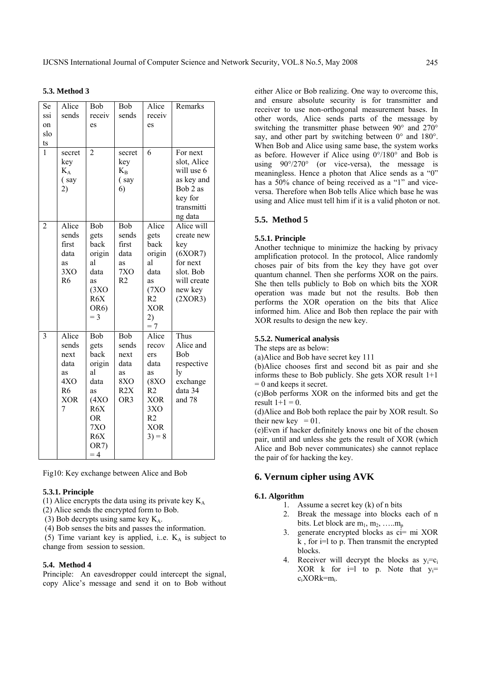|  |  | <b>5.3. Method 3</b> |  |
|--|--|----------------------|--|
|--|--|----------------------|--|

| Se                      | Alice                                                                                        | Bob                                                                                                          | Bob                                                          | Alice                                                                                                   | Remarks                                                                                                  |
|-------------------------|----------------------------------------------------------------------------------------------|--------------------------------------------------------------------------------------------------------------|--------------------------------------------------------------|---------------------------------------------------------------------------------------------------------|----------------------------------------------------------------------------------------------------------|
| ssi                     | sends                                                                                        | receiv                                                                                                       | sends                                                        | receiv                                                                                                  |                                                                                                          |
| on                      |                                                                                              | es                                                                                                           |                                                              | es                                                                                                      |                                                                                                          |
| slo                     |                                                                                              |                                                                                                              |                                                              |                                                                                                         |                                                                                                          |
| ts                      |                                                                                              |                                                                                                              |                                                              |                                                                                                         |                                                                                                          |
| $\mathbf{1}$            | secret<br>key<br>$K_A$<br>(say<br>2)                                                         | $\overline{2}$                                                                                               | secret<br>key<br>$K_{B}$<br>(say<br>6)                       | 6                                                                                                       | For next<br>slot, Alice<br>will use 6<br>as key and<br>Bob 2 as<br>key for<br>transmitti<br>ng data      |
| $\overline{2}$          | Alice<br>sends<br>first<br>data<br>as<br>3XO<br>R <sub>6</sub>                               | Bob<br>gets<br>back<br>origin<br>al<br>data<br>as<br>(3XO)<br>R6X<br>OR6)<br>$=$ 3                           | Bob<br>sends<br>first<br>data<br>as<br>7XO<br>R <sub>2</sub> | Alice<br>gets<br>back<br>origin<br>al<br>data<br>as<br>(7XO)<br>R2<br><b>XOR</b><br>2)<br>$=7$          | Alice will<br>create new<br>key<br>(6XOR7)<br>for next<br>slot. Bob<br>will create<br>new key<br>(2XOR3) |
| $\overline{\mathbf{3}}$ | Alice<br>sends<br>next<br>data<br>as<br>4X <sub>O</sub><br>R <sub>6</sub><br><b>XOR</b><br>7 | Bob<br>gets<br>back<br>origin<br>al<br>data<br>as<br>(4XO)<br>R6X<br><b>OR</b><br>7XO<br>R6X<br>OR7)<br>$=4$ | Bob<br>sends<br>next<br>data<br>as<br>8XO<br>R2X<br>OR3      | Alice<br>recov<br>ers<br>data<br>as<br>(8XO)<br>R2<br><b>XOR</b><br>3XO<br>R2<br><b>XOR</b><br>$3) = 8$ | Thus<br>Alice and<br>Bob<br>respective<br>ly<br>exchange<br>data 34<br>and 78                            |

Fig10: Key exchange between Alice and Bob

## **5.3.1. Principle**

(1) Alice encrypts the data using its private key  $K_A$ 

(2) Alice sends the encrypted form to Bob.

(3) Bob decrypts using same key  $K_A$ .

(4) Bob senses the bits and passes the information.

(5) Time variant key is applied, i.e.  $K_A$  is subject to change from session to session.

## **5.4. Method 4**

Principle: An eavesdropper could intercept the signal, copy Alice's message and send it on to Bob without either Alice or Bob realizing. One way to overcome this, and ensure absolute security is for transmitter and receiver to use non-orthogonal measurement bases. In other words, Alice sends parts of the message by switching the transmitter phase between 90° and 270° say, and other part by switching between  $0^{\circ}$  and  $180^{\circ}$ . When Bob and Alice using same base, the system works as before. However if Alice using 0°/180° and Bob is using  $90^{\circ}/270^{\circ}$  (or vice-versa), the message is meaningless. Hence a photon that Alice sends as a "0" has a 50% chance of being received as a "1" and viceversa. Therefore when Bob tells Alice which base he was using and Alice must tell him if it is a valid photon or not.

# **5.5. Method 5**

# **5.5.1. Principle**

Another technique to minimize the hacking by privacy amplification protocol. In the protocol, Alice randomly choses pair of bits from the key they have got over quantum channel. Then she performs XOR on the pairs. She then tells publicly to Bob on which bits the XOR operation was made but not the results. Bob then performs the XOR operation on the bits that Alice informed him. Alice and Bob then replace the pair with XOR results to design the new key.

## **5.5.2. Numerical analysis**

The steps are as below:

(a)Alice and Bob have secret key 111

(b)Alice chooses first and second bit as pair and she informs these to Bob publicly. She gets XOR result 1+1  $= 0$  and keeps it secret.

(c)Bob performs XOR on the informed bits and get the result  $1+1 = 0$ .

(d)Alice and Bob both replace the pair by XOR result. So their new key  $= 01$ .

(e)Even if hacker definitely knows one bit of the chosen pair, until and unless she gets the result of XOR (which Alice and Bob never communicates) she cannot replace the pair of for hacking the key.

# **6. Vernum cipher using AVK**

# **6.1. Algorithm**

- 1. Assume a secret key (k) of n bits
- 2. Break the message into blocks each of n bits. Let block are  $m_1, m_2, \ldots, m_p$
- 3. generate encrypted blocks as ci= mi XOR  $k$ . for  $i=1$  to p. Then transmit the encrypted blocks.
- 4. Receiver will decrypt the blocks as  $v_i = c_i$ XOR k for  $i=1$  to p. Note that  $y_i=$ ciXORk=mi.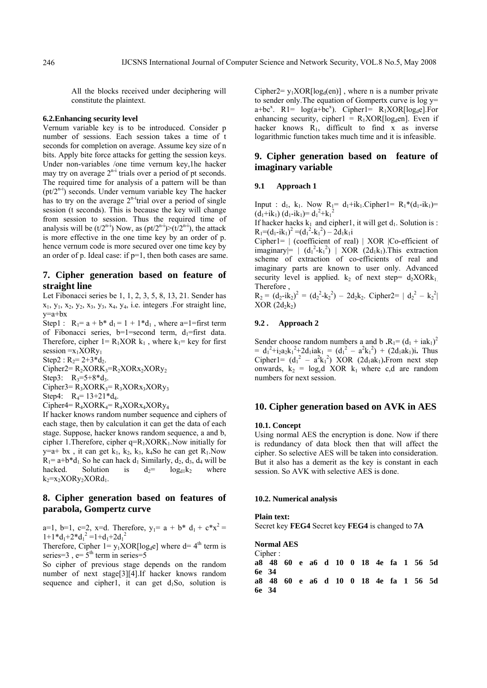All the blocks received under deciphering will constitute the plaintext.

#### **6.2.Enhancing security level**

Vernum variable key is to be introduced. Consider p number of sessions. Each session takes a time of t seconds for completion on average. Assume key size of n bits. Apply bite force attacks for getting the session keys. Under non-variables /one time vernum key,1he hacker may try on average  $2^{n-i}$  trials over a period of pt seconds. The required time for analysis of a pattern will be than  $(pt2<sup>n-i</sup>)$  seconds. Under vernum variable key The hacker has to try on the average  $2^{n-i}$ trial over a period of single session (t seconds). This is because the key will change from session to session. Thus the required time of analysis will be  $(t/2^{n-i})$  Now, as  $(pt/2^{n-i})>(t/2^{n-i})$ , the attack is more effective in the one time key by an order of p. hence vernum code is more secured over one time key by an order of p. Ideal case: if p=1, then both cases are same.

# **7. Cipher generation based on feature of straight line**

Let Fibonacci series be 1, 1, 2, 3, 5, 8, 13, 21. Sender has  $x_1, y_1, x_2, y_2, x_3, y_3, x_4, y_4$ , i.e. integers . For straight line, y=a+bx

Step1 :  $R_1 = a + b^* d_1 = 1 + 1^* d_1$ , where a=1=first term of Fibonacci series, b=1=second term,  $d_1$ =first data. Therefore, cipher  $1 = R_1XOR k_1$ , where  $k_1 = \text{key}$  for first session  $=x_1XORy_1$ 

Step2 :  $R_2 = 2 + 3 * d_2$ .

 $Cipher2=R_2XORK_3=R_2XORX_2XORY_2$ Step3:  $R_3 = 5 + 8 * d_3$ .  $Cipher3=R_3XORK_3=R_3XORX_3XORY_3$ 

Step4:  $R_4 = 13 + 21 * d_4$ .

 $Cipher4= R_4XORK_4=R_4XORX_4XORY_4$ 

If hacker knows random number sequence and ciphers of each stage, then by calculation it can get the data of each stage. Suppose, hacker knows random sequence, a and b, cipher 1. Therefore, cipher  $q=R_1XORK_1.Now$  initially for y=a+ bx, it can get  $k_1$ ,  $k_2$ ,  $k_3$ ,  $k_4$ So he can get  $R_1$ . Now  $R_1$ = a+b\*d<sub>1</sub>. So he can hack d<sub>1</sub> Similarly, d<sub>2</sub>, d<sub>3</sub>, d<sub>4</sub> will be hacked. Solution is  $d_2$ =  $log_{d1}k_2$  where  $k_2=x_2XORy_2XORd_1.$ 

# **8. Cipher generation based on features of parabola, Gompertz curve**

a=1, b=1, c=2, x=d. Therefore,  $y_1 = a + b^* d_1 + c^* x^2 =$  $1+1*d_1+2*d_1^2=1+d_1+2d_1^2$ 

Therefore, Cipher 1=  $y_1XOR[log_d e]$  where d= 4<sup>th</sup> term is series=3,  $e = 5<sup>th</sup>$  term in series=5

So cipher of previous stage depends on the random number of next stage[3][4].If hacker knows random sequence and cipher1, it can get  $d_1S_0$ , solution is Cipher2=  $y_1XOR[log_d(en)]$ , where n is a number private to sender only.The equation of Gompertx curve is log y=  $a+bc^x$ . R1=  $log(a+bc^x)$ . Cipher1=  $R_1XOR[log_a e]$ . For enhancing security, cipher1 =  $R_1XOR[log<sub>d</sub>en]$ . Even if hacker knows  $R_1$ , difficult to find x as inverse logarithmic function takes much time and it is infeasible.

# **9. Cipher generation based on feature of imaginary variable**

#### **9.1 Approach 1**

Input :  $d_1$ ,  $k_1$ . Now  $R_1 = d_1 + ik_1$ . Cipher  $1 = R_1 * (d_1 - ik_1) =$  $(d_1+ik_1)(d_1-ik_1)=d_1^2+k_1^2$ 

If hacker hacks  $k_1$  and cipher1, it will get  $d_1$ . Solution is :  $R_1 = (d_1 - ik_1)^2 = (d_1^2 - k_1^2) - 2d_1k_1i$ 

Cipher1= | (coefficient of real) | XOR |Co-efficient of imaginary  $= | (d_1^2-k_1^2) | XOR (2d_1k_1).$  This extraction scheme of extraction of co-efficients of real and imaginary parts are known to user only. Advanced security level is applied. k<sub>2</sub> of next step=  $d_2XORk_1$ . Therefore ,

 $R_2 = (d_2 - ik_2)^2 = (d_2^2 - k_2^2) - 2d_2k_2$ . Cipher2=  $|d_2^2 - k_2^2|$  $XOR(2d_2k_2)$ 

## **9.2 . Approach 2**

Sender choose random numbers a and b  $\mathbf{R}_1 = (\mathbf{d}_1 + i\mathbf{a}\mathbf{k}_1)^2$  $= d_1^2 + i_2 a_2 k_1^2 + 2 d_1 i a k_1 = (d_1^2 - a^2 k_1^2) + (2 d_1 a k_1)i$ . Thus Cipher1=  $(d_1^2 - a^2k_1^2)$  XOR (2d<sub>1</sub>ak<sub>1</sub>). From next step onwards,  $k_2$  = log<sub>c</sub>d XOR  $k_1$  where c,d are random numbers for next session.

# **10. Cipher generation based on AVK in AES**

#### **10.1. Concept**

Using normal AES the encryption is done. Now if there is redundancy of data block then that will affect the cipher. So selective AES will be taken into consideration. But it also has a demerit as the key is constant in each session. So AVK with selective AES is done.

#### **10.2. Numerical analysis**

#### **Plain text:**

Secret key **FEG4** Secret key **FEG4** is changed to **7A** 

**Normal AES**  Cipher :

| $\sim$ $\sim$ $\sim$ $\sim$ $\sim$    |  |  |  |  |  |  |
|---------------------------------------|--|--|--|--|--|--|
| a8 48 60 e a6 d 10 0 18 4e fa 1 56 5d |  |  |  |  |  |  |
| 6e 34                                 |  |  |  |  |  |  |
| a8 48 60 e a6 d 10 0 18 4e fa 1 56 5d |  |  |  |  |  |  |
| 6e 34                                 |  |  |  |  |  |  |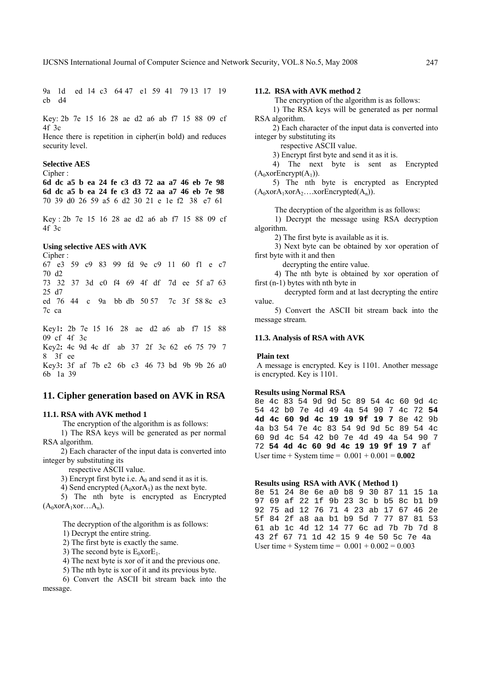9a 1d ed 14 c3 64 47 e1 59 41 79 13 17 19 cb d4

Key: 2b 7e 15 16 28 ae d2 a6 ab f7 15 88 09 cf 4f 3c

Hence there is repetition in cipher(in bold) and reduces security level.

#### **Selective AES**

Cipher :

**6d dc a5 b ea 24 fe c3 d3 72 aa a7 46 eb 7e 98 6d dc a5 b ea 24 fe c3 d3 72 aa a7 46 eb 7e 98**  70 39 d0 26 59 a5 6 d2 30 21 e 1e f2 38 e7 61

Key : 2b 7e 15 16 28 ae d2 a6 ab f7 15 88 09 cf 4f 3c

## **Using selective AES with AVK**

Cipher :

67 e3 59 c9 83 99 fd 9e c9 11 60 f1 e c7 70 d2 73 32 37 3d c0 f4 69 4f df 7d ee 5f a7 63 25 d7 ed 76 44 c 9a bb db 50 57 7c 3f 58 8c e3 7c ca

Key1**:** 2b 7e 15 16 28 ae d2 a6 ab f7 15 88 09 cf 4f 3c Key2**:** 4c 9d 4c df ab 37 2f 3c 62 e6 75 79 7 8 3f ee Key3**:** 3f af 7b e2 6b c3 46 73 bd 9b 9b 26 a0 6b 1a 39

#### **11. Cipher generation based on AVK in RSA**

#### **11.1. RSA with AVK method 1**

The encryption of the algorithm is as follows:

 1) The RSA keys will be generated as per normal RSA algorithm.

 2) Each character of the input data is converted into integer by substituting its

respective ASCII value.

3) Encrypt first byte i.e.  $A_0$  and send it as it is.

4) Send encrypted  $(A_0 \text{Xor} A_1)$  as the next byte.

 5) The nth byte is encrypted as Encrypted  $(A_0 \text{Xor} A_1 \text{Xor} \dots A_n).$ 

The decryption of the algorithm is as follows:

1) Decrypt the entire string.

2) The first byte is exactly the same.

3) The second byte is  $E_0$ xor $E_1$ .

4) The next byte is xor of it and the previous one.

5) The nth byte is xor of it and its previous byte.

 6) Convert the ASCII bit stream back into the message.

#### **11.2. RSA with AVK method 2**

The encryption of the algorithm is as follows:

 1) The RSA keys will be generated as per normal RSA algorithm.

 2) Each character of the input data is converted into integer by substituting its

respective ASCII value.

3) Encrypt first byte and send it as it is.

 4) The next byte is sent as Encrypted  $(A_0 \text{xorEnergy}(A_1)).$ 

 5) The nth byte is encrypted as Encrypted  $(A_0x$ or $A_1x$ or $A_2...x$ orEncrypted $(A_n)$ ).

The decryption of the algorithm is as follows:

 1) Decrypt the message using RSA decryption algorithm.

2) The first byte is available as it is.

 3) Next byte can be obtained by xor operation of first byte with it and then

decrypting the entire value.

 4) The nth byte is obtained by xor operation of first (n-1) bytes with nth byte in

 decrypted form and at last decrypting the entire value.

 5) Convert the ASCII bit stream back into the message stream.

# **11.3. Analysis of RSA with AVK**

 **Plain text** 

 A message is encrypted. Key is 1101. Another message is encrypted. Key is 1101.

#### **Results using Normal RSA**

8e 4c 83 54 9d 9d 5c 89 54 4c 60 9d 4c 54 42 b0 7e 4d 49 4a 54 90 7 4c 72 **54 4d 4c 60 9d 4c 19 19 9f 19 7** 8e 42 9b 4a b3 54 7e 4c 83 54 9d 9d 5c 89 54 4c 60 9d 4c 54 42 b0 7e 4d 49 4a 54 90 7 72 **54 4d 4c 60 9d 4c 19 19 9f 19 7** af User time + System time =  $0.001 + 0.001 = 0.002$ 

#### **Results using RSA with AVK ( Method 1)**

8e 51 24 8e 6e a0 b8 9 30 87 11 15 1a 97 69 af 22 1f 9b 23 3c b b5 8c b1 b9 92 75 ad 12 76 71 4 23 ab 17 67 46 2e 5f 84 2f a8 aa b1 b9 5d 7 77 87 81 53 61 ab 1c 4d 12 14 77 6c ad 7b 7b 7d 8 43 2f 67 71 1d 42 15 9 4e 50 5c 7e 4a User time + System time =  $0.001 + 0.002 = 0.003$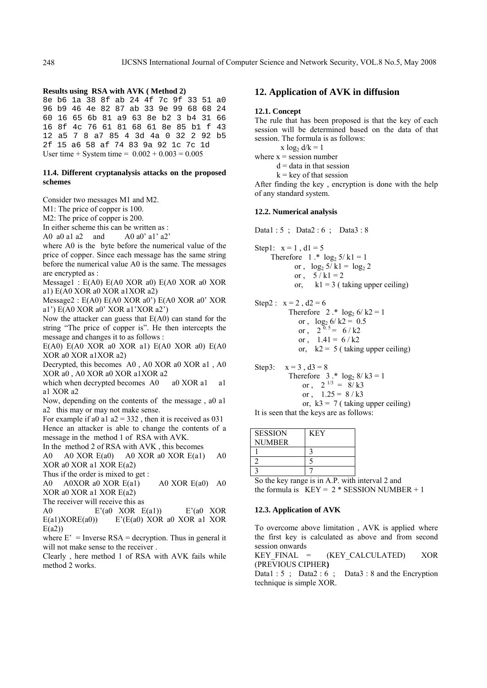#### **Results using RSA with AVK ( Method 2)**

8e b6 1a 38 8f ab 24 4f 7c 9f 33 51 a0 96 b9 46 4e 82 87 ab 33 9e 99 68 68 24 60 16 65 6b 81 a9 63 8e b2 3 b4 31 66 16 8f 4c 76 61 81 68 61 8e 85 b1 f 43 12 a5 7 8 a7 85 4 3d 4a 0 32 2 92 b5 2f 15 a6 58 af 74 83 9a 92 1c 7c 1d User time + System time =  $0.002 + 0.003 = 0.005$ 

### **11.4. Different cryptanalysis attacks on the proposed schemes**

Consider two messages M1 and M2.

M1: The price of copper is 100.

M2: The price of copper is 200.

In either scheme this can be written as :

A0 a0 a1 a2 and  $A0$  a0' a1' a2'

where A0 is the byte before the numerical value of the price of copper. Since each message has the same string before the numerical value A0 is the same. The messages are encrypted as :

Message1 : E(A0) E(A0 XOR a0) E(A0 XOR a0 XOR a1) E(A0 XOR a0 XOR a1XOR a2)

Message2 : E(A0) E(A0 XOR a0') E(A0 XOR a0' XOR a1') E(A0 XOR a0' XOR a1'XOR a2')

Now the attacker can guess that E(A0) can stand for the string "The price of copper is". He then intercepts the message and changes it to as follows :

 $E(A0) E(A0 XOR a0 XOR a1) E(A0 XOR a0) E(A0$ XOR a0 XOR a1XOR a2)

Decrypted, this becomes A0 , A0 XOR a0 XOR a1 , A0 XOR a0 , A0 XOR a0 XOR a1XOR a2

which when decrypted becomes A0 a0 XOR a1 a1 a1 XOR a2

Now, depending on the contents of the message , a0 a1 a2 this may or may not make sense.

For example if a0 a1  $a2 = 332$ , then it is received as 031 Hence an attacker is able to change the contents of a message in the method 1 of RSA with AVK. In the method 2 of RSA with AVK , this becomes

A0 A0 XOR E(a0) A0 XOR a0 XOR E(a1) A0

XOR a0 XOR a1 XOR E(a2)

Thus if the order is mixed to get :

A0 A0XOR a0 XOR E(a1) A0 XOR E(a0) A0 XOR a0 XOR a1 XOR E(a2)

The receiver will receive this as

A0 E'(a0 XOR E(a1)) E'(a0 XOR  $E(a1)XORE(a0)$   $E'(E(a0) XOR a0 XOR a1 XOR$  $E(a2)$ 

where  $E' =$  Inverse  $RSA =$  decryption. Thus in general it will not make sense to the receiver .

Clearly , here method 1 of RSA with AVK fails while method 2 works.

# **12. Application of AVK in diffusion**

#### **12.1. Concept**

The rule that has been proposed is that the key of each session will be determined based on the data of that session. The formula is as follows:

x  $log_2 d/k = 1$ 

where  $x =$  session number  $d =$  data in that session

 $k$  = key of that session

After finding the key , encryption is done with the help of any standard system.

#### **12.2. Numerical analysis**

Data1 : 5 ; Data2 : 6 ; Data3 : 8

- Step1:  $x = 1$ ,  $d1 = 5$ Therefore 1  $\cdot$  log<sub>2</sub> 5/ k1 = 1 or ,  $\log_2 5/k1 = \log_2 2$ or ,  $5/k1 = 2$ or,  $k1 = 3$  (taking upper ceiling)
- Step2 :  $x = 2$ ,  $d2 = 6$ Therefore 2  $.*$  log<sub>2</sub> 6/ k2 = 1 or ,  $\log_2 6 / k2 = 0.5$ or ,  $2^{0.5} = 6 / k2$ or ,  $1.41 = 6 / k2$ or,  $k2 = 5$  (taking upper ceiling)
- Step3:  $x = 3$ ,  $d3 = 8$ Therefore  $3 \cdot * \log_2 8 / k3 = 1$ or ,  $2^{1/3} = 8/k3$ or ,  $1.25 = 8 / k3$ or,  $k3 = 7$  (taking upper ceiling)

It is seen that the keys are as follows:

| <b>SESSION</b> | <b>KEY</b> |
|----------------|------------|
| <b>NUMBER</b>  |            |
|                |            |
|                |            |
|                |            |

So the key range is in A.P. with interval 2 and the formula is  $KEY = 2 * SESION NUMBER + 1$ 

## **12.3. Application of AVK**

To overcome above limitation , AVK is applied where the first key is calculated as above and from second session onwards

KEY\_FINAL = (KEY\_CALCULATED) XOR (PREVIOUS CIPHER**)** 

Data1 : 5 ; Data2 : 6 ; Data3 : 8 and the Encryption technique is simple XOR.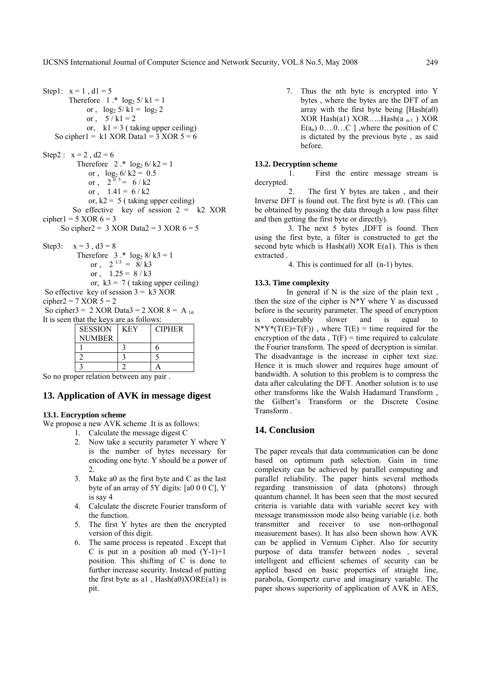Step1:  $x = 1$ ,  $d1 = 5$ Therefore 1 .\*  $\log_2 5 / k1 = 1$ or ,  $\log_2 5/k1 = \log_2 2$ or ,  $5 / k1 = 2$ or,  $k1 = 3$  (taking upper ceiling) So cipher1 = k1 XOR Data1 =  $3 \text{ XOR } 5 = 6$ Step2 :  $x = 2$ ,  $d2 = 6$ Therefore 2  $\cdot$  log<sub>2</sub> 6/ k2 = 1 or ,  $\log_2 6 / k2 = 0.5$ or ,  $2^{0.5} = 6 / k2$ or ,  $1.41 = 6 / k2$ or,  $k2 = 5$  (taking upper ceiling) So effective key of session  $2 = k2$  XOR cipher1 =  $5 \text{ XOR } 6 = 3$ So cipher2 =  $3 \text{ XOR Data} = 3 \text{ XOR } 6 = 5$ Step3:  $x = 3$ ,  $d3 = 8$ Therefore  $3 \cdot * \log_2 8 / k3 = 1$ or ,  $2^{1/3} = 8/13$ or ,  $1.25 = 8 / k3$ or,  $k3 = 7$  ( taking upper ceiling)

So effective key of session  $3 = k3$  XOR

cipher2 = 7 XOR  $5 = 2$ 

So cipher3 = 2 XOR Data3 = 2 XOR 8 = A  $_{16}$ It is seen that the keys are as follows:

| e ande and no viside as follows. |     |               |  |  |  |  |  |
|----------------------------------|-----|---------------|--|--|--|--|--|
| <b>SESSION</b>                   | KEY | <b>CIPHER</b> |  |  |  |  |  |
| <b>NUMBER</b>                    |     |               |  |  |  |  |  |
|                                  |     |               |  |  |  |  |  |
|                                  |     |               |  |  |  |  |  |
|                                  |     |               |  |  |  |  |  |

So no proper relation between any pair .

# **13. Application of AVK in message digest**

# **13.1. Encryption scheme**

We propose a new AVK scheme .It is as follows:

- 1. Calculate the message digest C
- 2. Now take a security parameter Y where Y is the number of bytes necessary for encoding one byte. Y should be a power of 2.
- 3. Make a0 as the first byte and C as the last byte of an array of 5Y digits: [a0 0 0 C], Y is say 4
- 4. Calculate the discrete Fourier transform of the function.
- 5. The first Y bytes are then the encrypted version of this digit.
- 6. The same process is repeated . Except that C is put in a position a0 mod  $(Y-1)+1$ position. This shifting of C is done to further increase security. Instead of putting the first byte as  $a1$ ,  $Hash(a0)XORE(a1)$  is pit.

7. Thus the nth byte is encrypted into Y bytes , where the bytes are the DFT of an array with the first byte being [Hash(a0) XOR Hash(a1) XOR…..Hash(a  $_{n-1}$ ) XOR  $E(a_n)$  0....0...C ], where the position of C is dictated by the previous byte , as said before.

## **13.2. Decryption scheme**

 1. First the entire message stream is decrypted.

 2. The first Y bytes are taken , and their Inverse DFT is found out. The first byte is a0. (This can be obtained by passing the data through a low pass filter and then getting the first byte or directly).

3. The next 5 bytes ,IDFT is found. Then using the first byte, a filter is constructed to get the second byte which is  $Hash(a0)$  XOR  $E(a1)$ . This is then extracted .

4. This is continued for all (n-1) bytes.

#### **13.3. Time complexity**

 In general if N is the size of the plain text , then the size of the cipher is  $N^*Y$  where Y as discussed before is the security parameter. The speed of encryption is considerably slower and is equal to  $N^*Y^*(T(E)+T(F))$ , where  $T(E)$  = time required for the encryption of the data,  $T(F)$  = time required to calculate the Fourier transform. The speed of decryption is similar. The disadvantage is the increase in cipher text size. Hence it is much slower and requires huge amount of bandwidth. A solution to this problem is to compress the data after calculating the DFT. Another solution is to use other transforms like the Walsh Hadamard Transform , the Gilbert's Transform or the Discrete Cosine Transform .

# **14. Conclusion**

The paper reveals that data communication can be done based on optimum path selection. Gain in time complexity can be achieved by parallel computing and parallel reliability. The paper hints several methods regarding transmission of data (photons) through quantum channel. It has been seen that the most secured criteria is variable data with variable secret key with message transmission mode also being variable (i.e. both transmitter and receiver to use non-orthogonal measurement bases). It has also been shown how AVK can be applied in Vernum Cipher. Also for security purpose of data transfer between nodes , several intelligent and efficient schemes of security can be applied based on basic properties of straight line, parabola, Gompertz curve and imaginary variable. The paper shows superiority of application of AVK in AES,